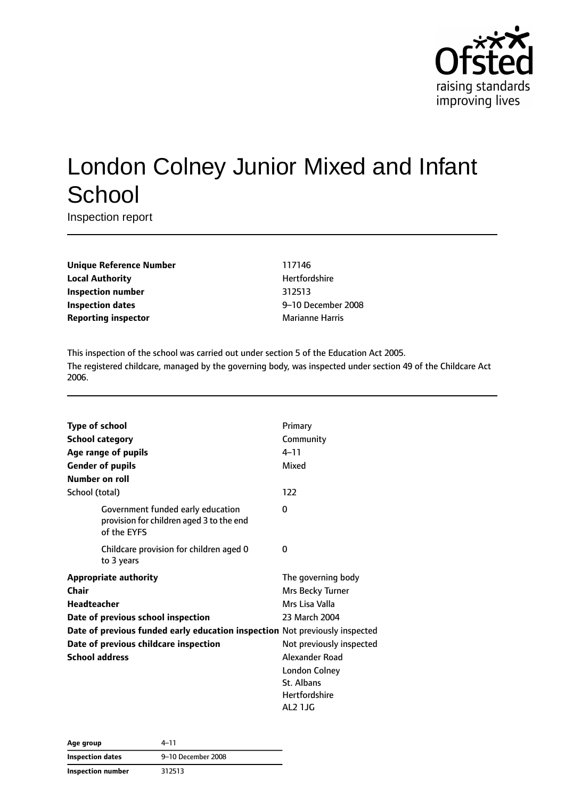

# London Colney Junior Mixed and Infant **School**

Inspection report

**Unique Reference Number** 117146 **Local Authority Material Authority Hertfordshire Inspection number** 312513 **Inspection dates** 9–10 December 2008 **Reporting inspector** Marianne Harris

This inspection of the school was carried out under section 5 of the Education Act 2005. The registered childcare, managed by the governing body, was inspected under section 49 of the Childcare Act 2006.

| <b>Type of school</b>   |                                                                                              | Primary                  |
|-------------------------|----------------------------------------------------------------------------------------------|--------------------------|
| <b>School category</b>  |                                                                                              | Community                |
| Age range of pupils     |                                                                                              | $4 - 11$                 |
| <b>Gender of pupils</b> |                                                                                              | Mixed                    |
| Number on roll          |                                                                                              |                          |
| School (total)          |                                                                                              | 122                      |
|                         | Government funded early education<br>provision for children aged 3 to the end<br>of the EYFS | 0                        |
|                         | Childcare provision for children aged 0<br>to 3 years                                        | 0                        |
|                         | <b>Appropriate authority</b>                                                                 | The governing body       |
| Chair                   |                                                                                              | Mrs Becky Turner         |
| <b>Headteacher</b>      |                                                                                              | Mrs Lisa Valla           |
|                         | Date of previous school inspection                                                           | 23 March 2004            |
|                         | Date of previous funded early education inspection Not previously inspected                  |                          |
|                         | Date of previous childcare inspection                                                        | Not previously inspected |
| <b>School address</b>   |                                                                                              | Alexander Road           |
|                         |                                                                                              | London Colney            |
|                         |                                                                                              | St. Albans               |
|                         |                                                                                              | Hertfordshire            |
|                         |                                                                                              | AL2 1JG                  |

| Age group                | 4–11               |  |
|--------------------------|--------------------|--|
| <b>Inspection dates</b>  | 9-10 December 2008 |  |
| <b>Inspection number</b> | 312513             |  |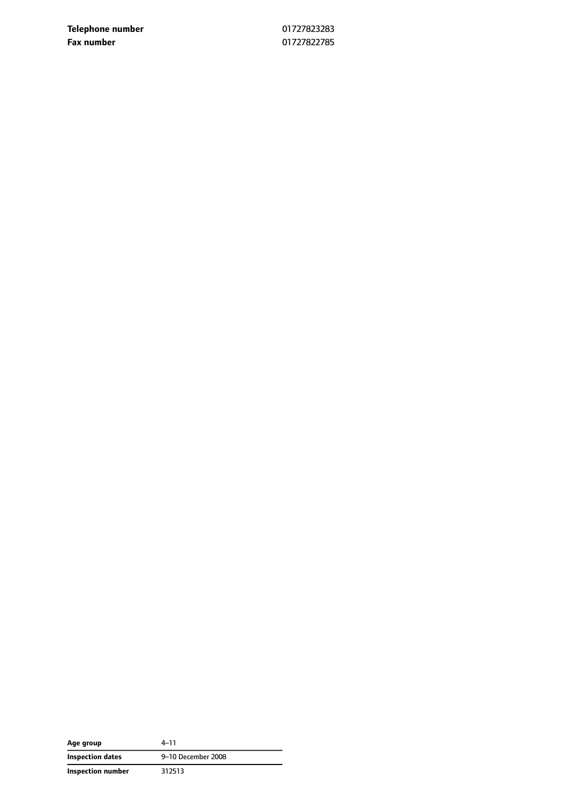**Telephone number** 01727823283 **Fax number** 01727822785

| Age group               | 4–11               |
|-------------------------|--------------------|
| <b>Inspection dates</b> | 9-10 December 2008 |
| Inspection number       | 312513             |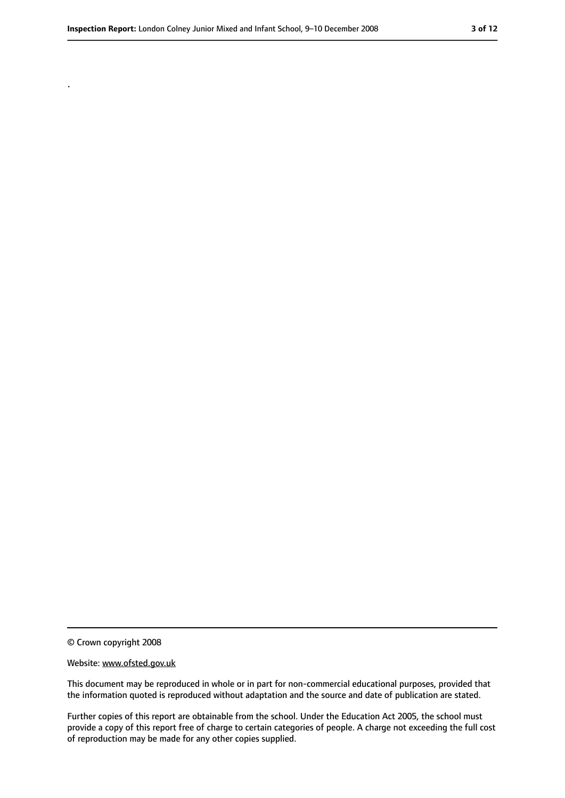.

<sup>©</sup> Crown copyright 2008

Website: www.ofsted.gov.uk

This document may be reproduced in whole or in part for non-commercial educational purposes, provided that the information quoted is reproduced without adaptation and the source and date of publication are stated.

Further copies of this report are obtainable from the school. Under the Education Act 2005, the school must provide a copy of this report free of charge to certain categories of people. A charge not exceeding the full cost of reproduction may be made for any other copies supplied.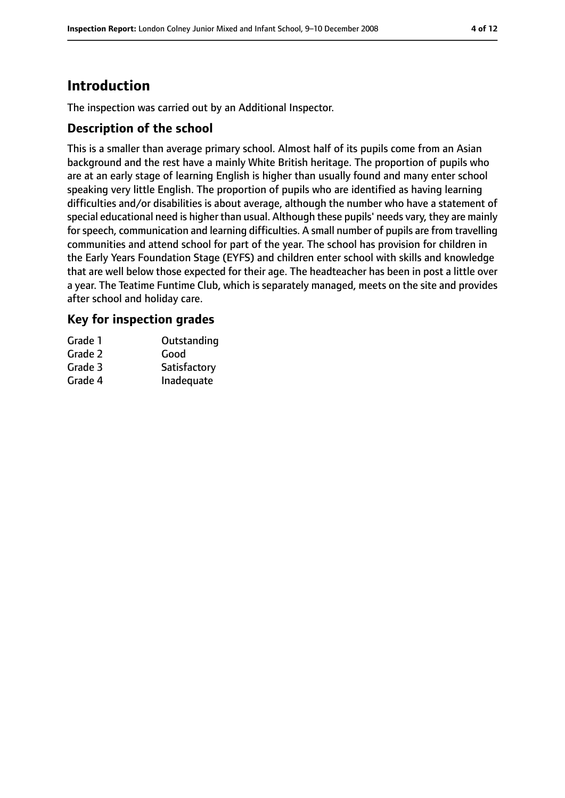# **Introduction**

The inspection was carried out by an Additional Inspector.

### **Description of the school**

This is a smaller than average primary school. Almost half of its pupils come from an Asian background and the rest have a mainly White British heritage. The proportion of pupils who are at an early stage of learning English is higher than usually found and many enter school speaking very little English. The proportion of pupils who are identified as having learning difficulties and/or disabilities is about average, although the number who have a statement of special educational need is higher than usual. Although these pupils' needs vary, they are mainly for speech, communication and learning difficulties. A small number of pupils are from travelling communities and attend school for part of the year. The school has provision for children in the Early Years Foundation Stage (EYFS) and children enter school with skills and knowledge that are well below those expected for their age. The headteacher has been in post a little over a year. The Teatime Funtime Club, which is separately managed, meets on the site and provides after school and holiday care.

### **Key for inspection grades**

| Grade 1 | Outstanding  |
|---------|--------------|
| Grade 2 | Good         |
| Grade 3 | Satisfactory |
| Grade 4 | Inadequate   |
|         |              |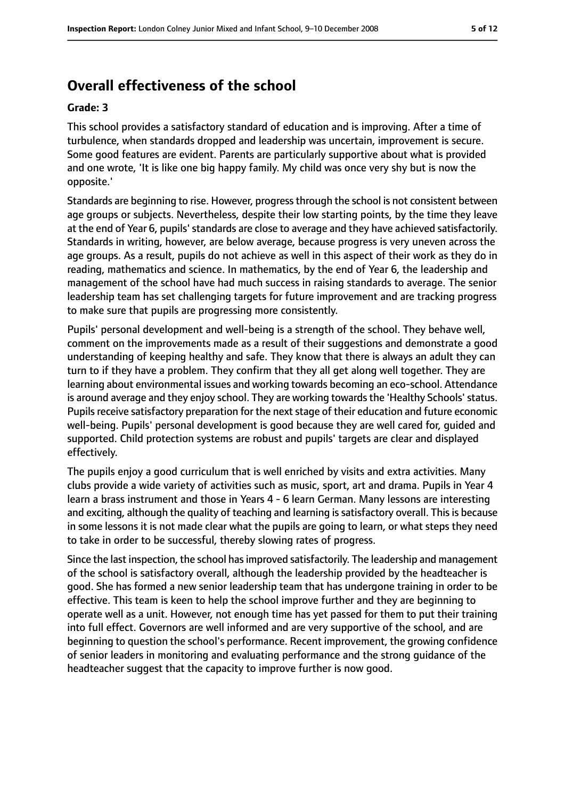# **Overall effectiveness of the school**

#### **Grade: 3**

This school provides a satisfactory standard of education and is improving. After a time of turbulence, when standards dropped and leadership was uncertain, improvement is secure. Some good features are evident. Parents are particularly supportive about what is provided and one wrote, 'It is like one big happy family. My child was once very shy but is now the opposite.'

Standards are beginning to rise. However, progressthrough the school is not consistent between age groups or subjects. Nevertheless, despite their low starting points, by the time they leave at the end of Year 6, pupils' standards are close to average and they have achieved satisfactorily. Standards in writing, however, are below average, because progress is very uneven across the age groups. As a result, pupils do not achieve as well in this aspect of their work as they do in reading, mathematics and science. In mathematics, by the end of Year 6, the leadership and management of the school have had much success in raising standards to average. The senior leadership team has set challenging targets for future improvement and are tracking progress to make sure that pupils are progressing more consistently.

Pupils' personal development and well-being is a strength of the school. They behave well, comment on the improvements made as a result of their suggestions and demonstrate a good understanding of keeping healthy and safe. They know that there is always an adult they can turn to if they have a problem. They confirm that they all get along well together. They are learning about environmental issues and working towards becoming an eco-school. Attendance is around average and they enjoy school. They are working towards the 'Healthy Schools' status. Pupils receive satisfactory preparation for the next stage of their education and future economic well-being. Pupils' personal development is good because they are well cared for, guided and supported. Child protection systems are robust and pupils' targets are clear and displayed effectively.

The pupils enjoy a good curriculum that is well enriched by visits and extra activities. Many clubs provide a wide variety of activities such as music, sport, art and drama. Pupils in Year 4 learn a brass instrument and those in Years 4 - 6 learn German. Many lessons are interesting and exciting, although the quality of teaching and learning is satisfactory overall. This is because in some lessons it is not made clear what the pupils are going to learn, or what steps they need to take in order to be successful, thereby slowing rates of progress.

Since the last inspection, the school has improved satisfactorily. The leadership and management of the school is satisfactory overall, although the leadership provided by the headteacher is good. She has formed a new senior leadership team that has undergone training in order to be effective. This team is keen to help the school improve further and they are beginning to operate well as a unit. However, not enough time has yet passed for them to put their training into full effect. Governors are well informed and are very supportive of the school, and are beginning to question the school's performance. Recent improvement, the growing confidence of senior leaders in monitoring and evaluating performance and the strong guidance of the headteacher suggest that the capacity to improve further is now good.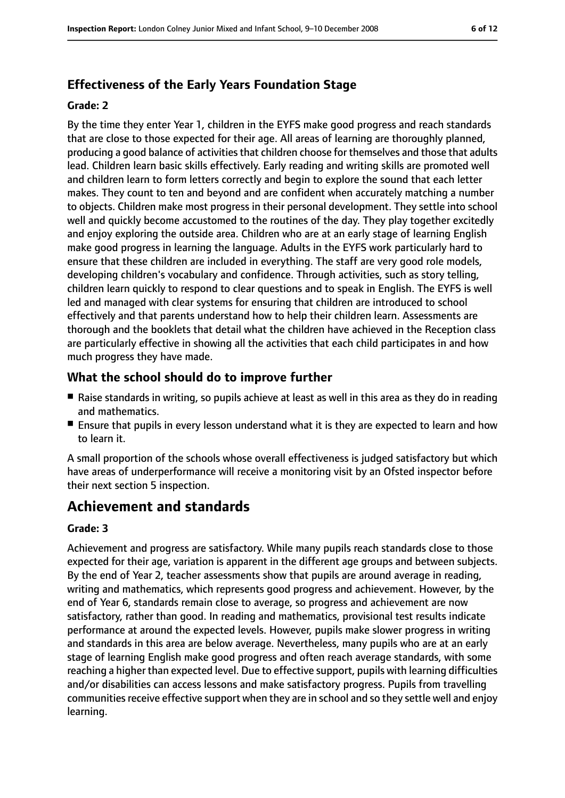# **Effectiveness of the Early Years Foundation Stage**

#### **Grade: 2**

By the time they enter Year 1, children in the EYFS make good progress and reach standards that are close to those expected for their age. All areas of learning are thoroughly planned, producing a good balance of activities that children choose for themselves and those that adults lead. Children learn basic skills effectively. Early reading and writing skills are promoted well and children learn to form letters correctly and begin to explore the sound that each letter makes. They count to ten and beyond and are confident when accurately matching a number to objects. Children make most progress in their personal development. They settle into school well and quickly become accustomed to the routines of the day. They play together excitedly and enjoy exploring the outside area. Children who are at an early stage of learning English make good progress in learning the language. Adults in the EYFS work particularly hard to ensure that these children are included in everything. The staff are very good role models, developing children's vocabulary and confidence. Through activities, such as story telling, children learn quickly to respond to clear questions and to speak in English. The EYFS is well led and managed with clear systems for ensuring that children are introduced to school effectively and that parents understand how to help their children learn. Assessments are thorough and the booklets that detail what the children have achieved in the Reception class are particularly effective in showing all the activities that each child participates in and how much progress they have made.

### **What the school should do to improve further**

- Raise standards in writing, so pupils achieve at least as well in this area as they do in reading and mathematics.
- Ensure that pupils in every lesson understand what it is they are expected to learn and how to learn it.

A small proportion of the schools whose overall effectiveness is judged satisfactory but which have areas of underperformance will receive a monitoring visit by an Ofsted inspector before their next section 5 inspection.

# **Achievement and standards**

#### **Grade: 3**

Achievement and progress are satisfactory. While many pupils reach standards close to those expected for their age, variation is apparent in the different age groups and between subjects. By the end of Year 2, teacher assessments show that pupils are around average in reading, writing and mathematics, which represents good progress and achievement. However, by the end of Year 6, standards remain close to average, so progress and achievement are now satisfactory, rather than good. In reading and mathematics, provisional test results indicate performance at around the expected levels. However, pupils make slower progress in writing and standards in this area are below average. Nevertheless, many pupils who are at an early stage of learning English make good progress and often reach average standards, with some reaching a higher than expected level. Due to effective support, pupils with learning difficulties and/or disabilities can access lessons and make satisfactory progress. Pupils from travelling communities receive effective support when they are in school and so they settle well and enjoy learning.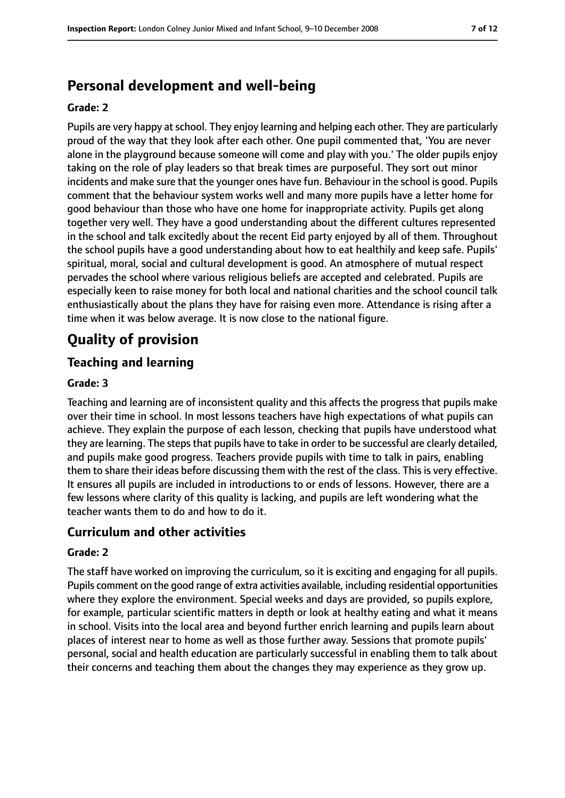# **Personal development and well-being**

#### **Grade: 2**

Pupils are very happy at school. They enjoy learning and helping each other. They are particularly proud of the way that they look after each other. One pupil commented that, 'You are never alone in the playground because someone will come and play with you.' The older pupils enjoy taking on the role of play leaders so that break times are purposeful. They sort out minor incidents and make sure that the younger ones have fun. Behaviour in the school is good. Pupils comment that the behaviour system works well and many more pupils have a letter home for good behaviour than those who have one home for inappropriate activity. Pupils get along together very well. They have a good understanding about the different cultures represented in the school and talk excitedly about the recent Eid party enjoyed by all of them. Throughout the school pupils have a good understanding about how to eat healthily and keep safe. Pupils' spiritual, moral, social and cultural development is good. An atmosphere of mutual respect pervades the school where various religious beliefs are accepted and celebrated. Pupils are especially keen to raise money for both local and national charities and the school council talk enthusiastically about the plans they have for raising even more. Attendance is rising after a time when it was below average. It is now close to the national figure.

# **Quality of provision**

### **Teaching and learning**

#### **Grade: 3**

Teaching and learning are of inconsistent quality and this affects the progress that pupils make over their time in school. In most lessons teachers have high expectations of what pupils can achieve. They explain the purpose of each lesson, checking that pupils have understood what they are learning. The steps that pupils have to take in order to be successful are clearly detailed, and pupils make good progress. Teachers provide pupils with time to talk in pairs, enabling them to share their ideas before discussing them with the rest of the class. This is very effective. It ensures all pupils are included in introductions to or ends of lessons. However, there are a few lessons where clarity of this quality is lacking, and pupils are left wondering what the teacher wants them to do and how to do it.

### **Curriculum and other activities**

#### **Grade: 2**

The staff have worked on improving the curriculum, so it is exciting and engaging for all pupils. Pupils comment on the good range of extra activities available, including residential opportunities where they explore the environment. Special weeks and days are provided, so pupils explore, for example, particular scientific matters in depth or look at healthy eating and what it means in school. Visits into the local area and beyond further enrich learning and pupils learn about places of interest near to home as well as those further away. Sessions that promote pupils' personal, social and health education are particularly successful in enabling them to talk about their concerns and teaching them about the changes they may experience as they grow up.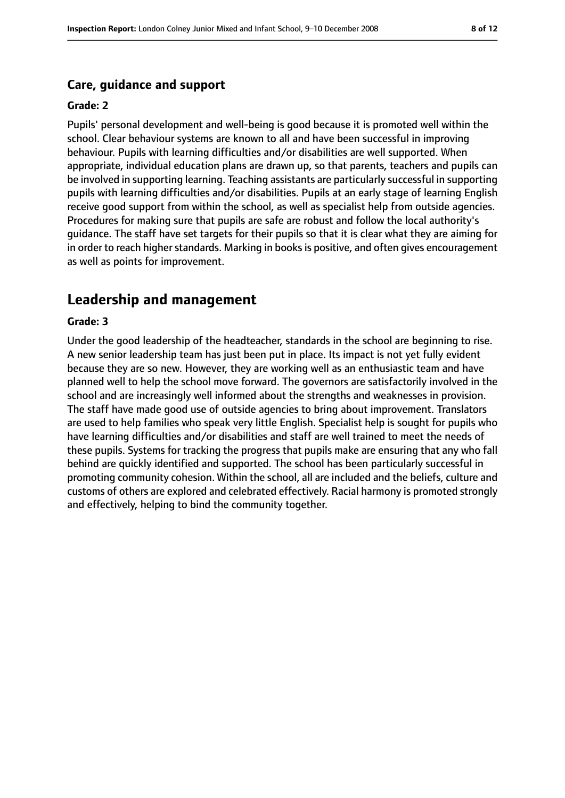#### **Care, guidance and support**

#### **Grade: 2**

Pupils' personal development and well-being is good because it is promoted well within the school. Clear behaviour systems are known to all and have been successful in improving behaviour. Pupils with learning difficulties and/or disabilities are well supported. When appropriate, individual education plans are drawn up, so that parents, teachers and pupils can be involved in supporting learning. Teaching assistants are particularly successful in supporting pupils with learning difficulties and/or disabilities. Pupils at an early stage of learning English receive good support from within the school, as well as specialist help from outside agencies. Procedures for making sure that pupils are safe are robust and follow the local authority's guidance. The staff have set targets for their pupils so that it is clear what they are aiming for in order to reach higher standards. Marking in books is positive, and often gives encouragement as well as points for improvement.

### **Leadership and management**

#### **Grade: 3**

Under the good leadership of the headteacher, standards in the school are beginning to rise. A new senior leadership team has just been put in place. Its impact is not yet fully evident because they are so new. However, they are working well as an enthusiastic team and have planned well to help the school move forward. The governors are satisfactorily involved in the school and are increasingly well informed about the strengths and weaknesses in provision. The staff have made good use of outside agencies to bring about improvement. Translators are used to help families who speak very little English. Specialist help is sought for pupils who have learning difficulties and/or disabilities and staff are well trained to meet the needs of these pupils. Systems for tracking the progress that pupils make are ensuring that any who fall behind are quickly identified and supported. The school has been particularly successful in promoting community cohesion. Within the school, all are included and the beliefs, culture and customs of others are explored and celebrated effectively. Racial harmony is promoted strongly and effectively, helping to bind the community together.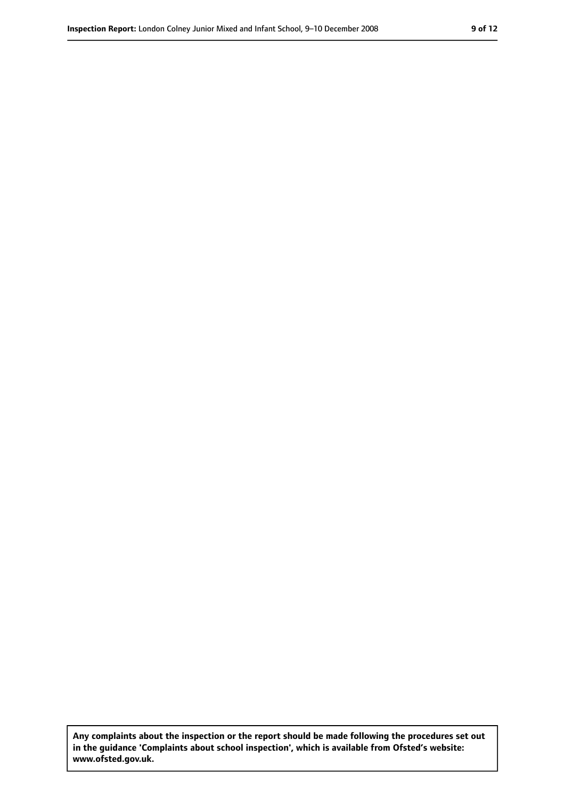**Any complaints about the inspection or the report should be made following the procedures set out in the guidance 'Complaints about school inspection', which is available from Ofsted's website: www.ofsted.gov.uk.**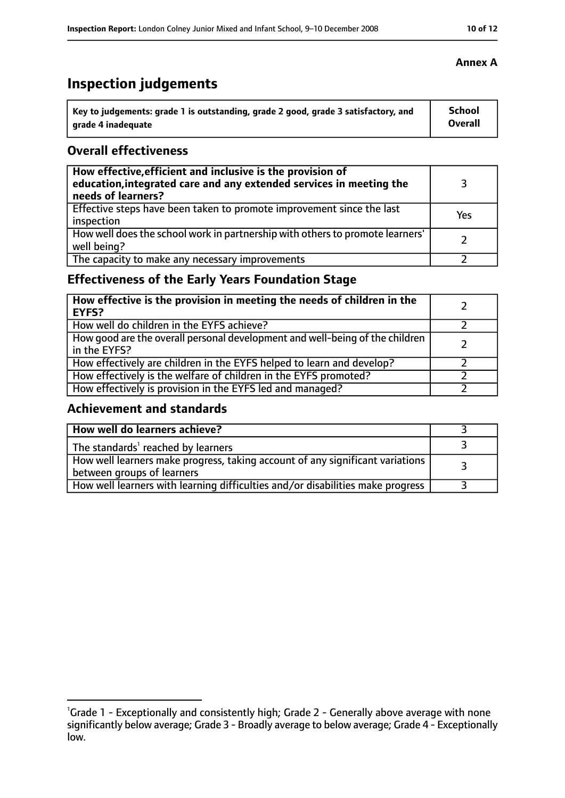# **Inspection judgements**

| ˈ Key to judgements: grade 1 is outstanding, grade 2 good, grade 3 satisfactory, and | <b>School</b>  |
|--------------------------------------------------------------------------------------|----------------|
| arade 4 inadequate                                                                   | <b>Overall</b> |

### **Overall effectiveness**

| How effective, efficient and inclusive is the provision of<br>education, integrated care and any extended services in meeting the<br>needs of learners? |     |
|---------------------------------------------------------------------------------------------------------------------------------------------------------|-----|
| Effective steps have been taken to promote improvement since the last<br>inspection                                                                     | Yes |
| How well does the school work in partnership with others to promote learners'<br>well being?                                                            |     |
| The capacity to make any necessary improvements                                                                                                         |     |

# **Effectiveness of the Early Years Foundation Stage**

| How effective is the provision in meeting the needs of children in the<br><b>EYFS?</b>       |  |
|----------------------------------------------------------------------------------------------|--|
| How well do children in the EYFS achieve?                                                    |  |
| How good are the overall personal development and well-being of the children<br>in the EYFS? |  |
| How effectively are children in the EYFS helped to learn and develop?                        |  |
| How effectively is the welfare of children in the EYFS promoted?                             |  |
| How effectively is provision in the EYFS led and managed?                                    |  |

## **Achievement and standards**

| How well do learners achieve?                                                                               |  |
|-------------------------------------------------------------------------------------------------------------|--|
| The standards <sup>1</sup> reached by learners                                                              |  |
| How well learners make progress, taking account of any significant variations<br>between groups of learners |  |
| How well learners with learning difficulties and/or disabilities make progress                              |  |

<sup>&</sup>lt;sup>1</sup>Grade 1 - Exceptionally and consistently high; Grade 2 - Generally above average with none significantly below average; Grade 3 - Broadly average to below average; Grade 4 - Exceptionally low.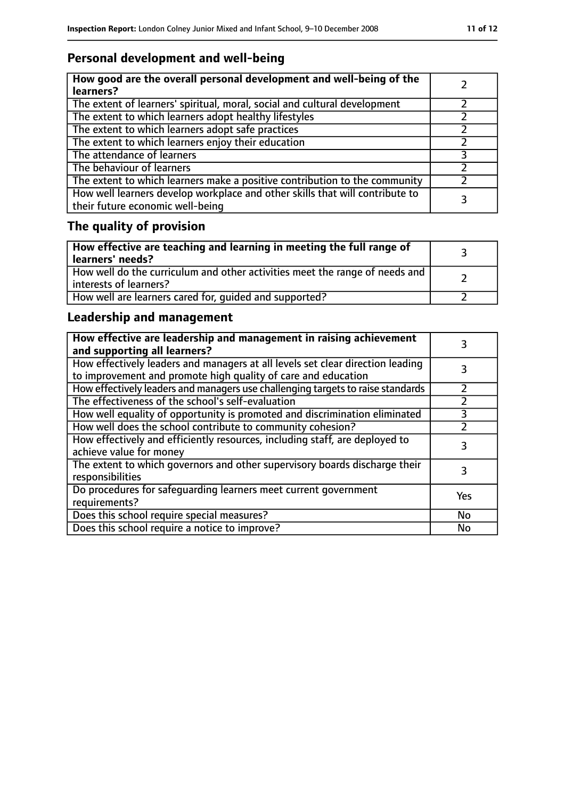# **Personal development and well-being**

| How good are the overall personal development and well-being of the<br>learners?                                 |  |
|------------------------------------------------------------------------------------------------------------------|--|
| The extent of learners' spiritual, moral, social and cultural development                                        |  |
| The extent to which learners adopt healthy lifestyles                                                            |  |
| The extent to which learners adopt safe practices                                                                |  |
| The extent to which learners enjoy their education                                                               |  |
| The attendance of learners                                                                                       |  |
| The behaviour of learners                                                                                        |  |
| The extent to which learners make a positive contribution to the community                                       |  |
| How well learners develop workplace and other skills that will contribute to<br>their future economic well-being |  |

# **The quality of provision**

| How effective are teaching and learning in meeting the full range of<br>learners' needs?              |  |
|-------------------------------------------------------------------------------------------------------|--|
| How well do the curriculum and other activities meet the range of needs and<br>interests of learners? |  |
| How well are learners cared for, quided and supported?                                                |  |

# **Leadership and management**

| How effective are leadership and management in raising achievement<br>and supporting all learners?                                              |     |
|-------------------------------------------------------------------------------------------------------------------------------------------------|-----|
| How effectively leaders and managers at all levels set clear direction leading<br>to improvement and promote high quality of care and education |     |
| How effectively leaders and managers use challenging targets to raise standards                                                                 |     |
| The effectiveness of the school's self-evaluation                                                                                               |     |
| How well equality of opportunity is promoted and discrimination eliminated                                                                      |     |
| How well does the school contribute to community cohesion?                                                                                      |     |
| How effectively and efficiently resources, including staff, are deployed to<br>achieve value for money                                          | 3   |
| The extent to which governors and other supervisory boards discharge their<br>responsibilities                                                  | 3   |
| Do procedures for safequarding learners meet current government<br>requirements?                                                                | Yes |
| Does this school require special measures?                                                                                                      | No  |
| Does this school require a notice to improve?                                                                                                   | No  |